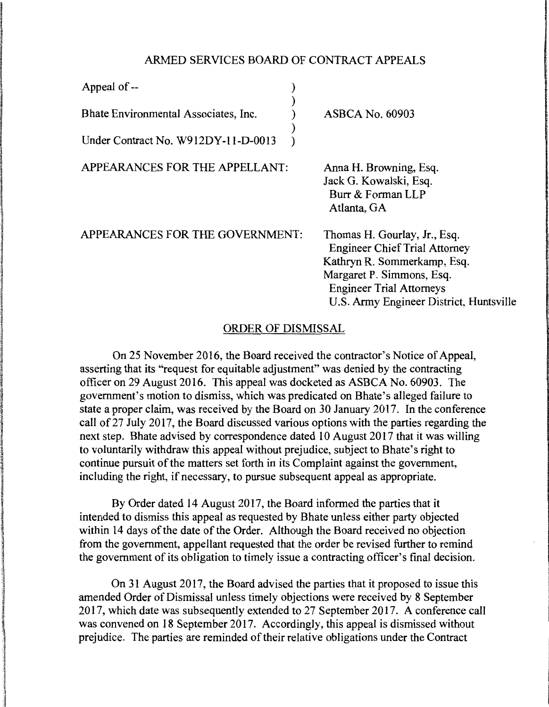## ARMED SERVICES BOARD OF CONTRACT APPEALS

| Appeal of --                         |  |                                                                                                                                                                                                                |
|--------------------------------------|--|----------------------------------------------------------------------------------------------------------------------------------------------------------------------------------------------------------------|
| Bhate Environmental Associates, Inc. |  | <b>ASBCA No. 60903</b>                                                                                                                                                                                         |
| Under Contract No. W912DY-11-D-0013  |  |                                                                                                                                                                                                                |
| APPEARANCES FOR THE APPELLANT:       |  | Anna H. Browning, Esq.<br>Jack G. Kowalski, Esq.<br>Burr & Forman LLP<br>Atlanta, GA                                                                                                                           |
| APPEARANCES FOR THE GOVERNMENT:      |  | Thomas H. Gourlay, Jr., Esq.<br><b>Engineer Chief Trial Attorney</b><br>Kathryn R. Sommerkamp, Esq.<br>Margaret P. Simmons, Esq.<br><b>Engineer Trial Attorneys</b><br>U.S. Army Engineer District, Huntsville |

## ORDER OF DISMISSAL

On 25 November 2016, the Board received the contractor's Notice of Appeal, asserting that its "'request for equitable adjustment" was denied by the contracting officer on 29 August 2016. This appeal was docketed as ASBCA No. 60903. The government's motion to dismiss, which was predicated on Bhate's alleged failure to state a proper claim, was received by the Board on 30 January 2017. In the conference call of 27 July 2017, the Board discussed various options with the parties regarding the next step. Bhate advised by correspondence dated 10 August 2017 that it was willing to voluntarily withdraw this appeal without prejudice, subject to Bhate's right to continue pursuit of the matters set forth in its Complaint against the government, including the right, if necessary, to pursue subsequent appeal as appropriate.

By Order dated 14 August 2017, the Board informed the parties that it intended to dismiss this appeal as requested by Bhate unless either party objected within 14 days of the date of the Order. Although the Board received no objection from the government, appellant requested that the order be revised further to remind the government of its obligation to timely issue a contracting officer's final decision.

On 31 August 2017, the Board advised the parties that it proposed to issue this amended Order of Dismissal unless timely objections were received by 8 September 2017, which date was subsequently extended to 27 September 2017. A conference call was convened on 18 September 2017. Accordingly, this appeal is dismissed without prejudice. The parties are reminded of their relative obligations under the Contract